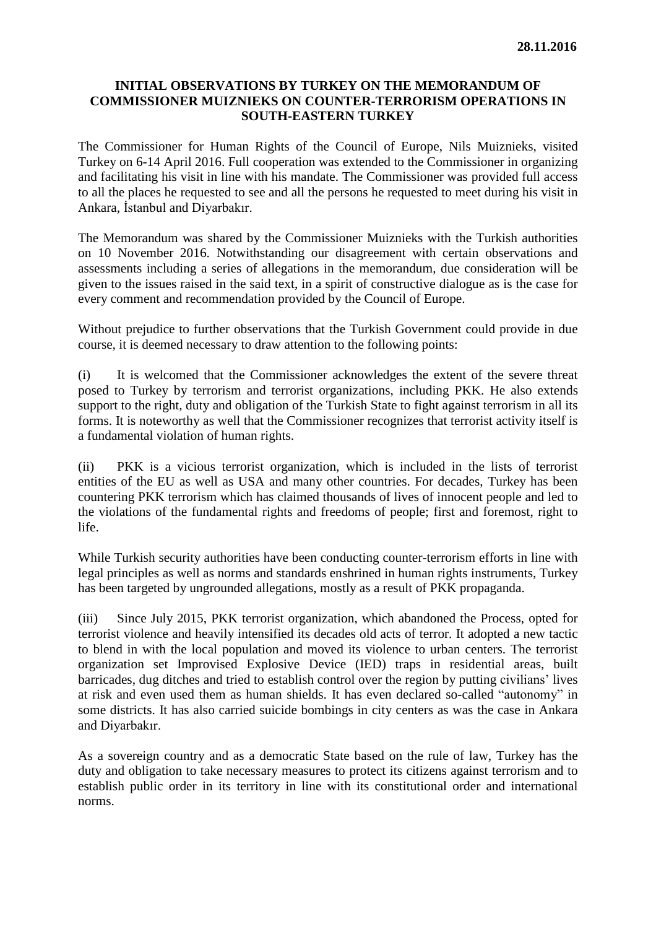## **INITIAL OBSERVATIONS BY TURKEY ON THE MEMORANDUM OF COMMISSIONER MUIZNIEKS ON COUNTER-TERRORISM OPERATIONS IN SOUTH-EASTERN TURKEY**

The Commissioner for Human Rights of the Council of Europe, Nils Muiznieks, visited Turkey on 6-14 April 2016. Full cooperation was extended to the Commissioner in organizing and facilitating his visit in line with his mandate. The Commissioner was provided full access to all the places he requested to see and all the persons he requested to meet during his visit in Ankara, İstanbul and Diyarbakır.

The Memorandum was shared by the Commissioner Muiznieks with the Turkish authorities on 10 November 2016. Notwithstanding our disagreement with certain observations and assessments including a series of allegations in the memorandum, due consideration will be given to the issues raised in the said text, in a spirit of constructive dialogue as is the case for every comment and recommendation provided by the Council of Europe.

Without prejudice to further observations that the Turkish Government could provide in due course, it is deemed necessary to draw attention to the following points:

(i) It is welcomed that the Commissioner acknowledges the extent of the severe threat posed to Turkey by terrorism and terrorist organizations, including PKK. He also extends support to the right, duty and obligation of the Turkish State to fight against terrorism in all its forms. It is noteworthy as well that the Commissioner recognizes that terrorist activity itself is a fundamental violation of human rights.

(ii) PKK is a vicious terrorist organization, which is included in the lists of terrorist entities of the EU as well as USA and many other countries. For decades, Turkey has been countering PKK terrorism which has claimed thousands of lives of innocent people and led to the violations of the fundamental rights and freedoms of people; first and foremost, right to life.

While Turkish security authorities have been conducting counter-terrorism efforts in line with legal principles as well as norms and standards enshrined in human rights instruments, Turkey has been targeted by ungrounded allegations, mostly as a result of PKK propaganda.

(iii) Since July 2015, PKK terrorist organization, which abandoned the Process, opted for terrorist violence and heavily intensified its decades old acts of terror. It adopted a new tactic to blend in with the local population and moved its violence to urban centers. The terrorist organization set Improvised Explosive Device (IED) traps in residential areas, built barricades, dug ditches and tried to establish control over the region by putting civilians' lives at risk and even used them as human shields. It has even declared so-called "autonomy" in some districts. It has also carried suicide bombings in city centers as was the case in Ankara and Diyarbakır.

As a sovereign country and as a democratic State based on the rule of law, Turkey has the duty and obligation to take necessary measures to protect its citizens against terrorism and to establish public order in its territory in line with its constitutional order and international norms.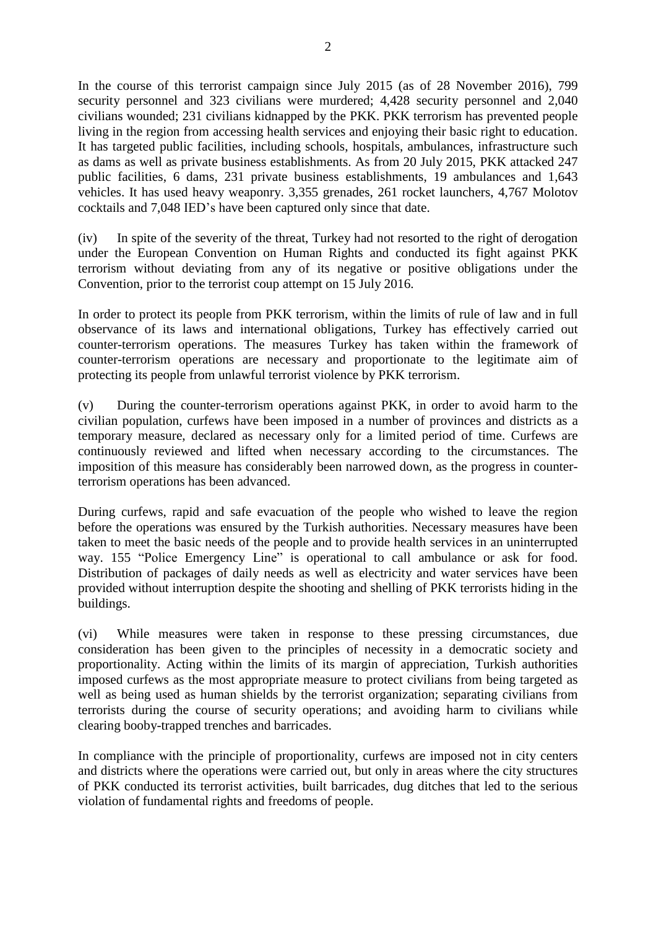In the course of this terrorist campaign since July 2015 (as of 28 November 2016), 799 security personnel and 323 civilians were murdered; 4,428 security personnel and 2,040 civilians wounded; 231 civilians kidnapped by the PKK. PKK terrorism has prevented people living in the region from accessing health services and enjoying their basic right to education. It has targeted public facilities, including schools, hospitals, ambulances, infrastructure such as dams as well as private business establishments. As from 20 July 2015, PKK attacked 247 public facilities, 6 dams, 231 private business establishments, 19 ambulances and 1,643 vehicles. It has used heavy weaponry. 3,355 grenades, 261 rocket launchers, 4,767 Molotov cocktails and 7,048 IED's have been captured only since that date.

(iv) In spite of the severity of the threat, Turkey had not resorted to the right of derogation under the European Convention on Human Rights and conducted its fight against PKK terrorism without deviating from any of its negative or positive obligations under the Convention, prior to the terrorist coup attempt on 15 July 2016.

In order to protect its people from PKK terrorism, within the limits of rule of law and in full observance of its laws and international obligations, Turkey has effectively carried out counter-terrorism operations. The measures Turkey has taken within the framework of counter-terrorism operations are necessary and proportionate to the legitimate aim of protecting its people from unlawful terrorist violence by PKK terrorism.

(v) During the counter-terrorism operations against PKK, in order to avoid harm to the civilian population, curfews have been imposed in a number of provinces and districts as a temporary measure, declared as necessary only for a limited period of time. Curfews are continuously reviewed and lifted when necessary according to the circumstances. The imposition of this measure has considerably been narrowed down, as the progress in counterterrorism operations has been advanced.

During curfews, rapid and safe evacuation of the people who wished to leave the region before the operations was ensured by the Turkish authorities. Necessary measures have been taken to meet the basic needs of the people and to provide health services in an uninterrupted way. 155 "Police Emergency Line" is operational to call ambulance or ask for food. Distribution of packages of daily needs as well as electricity and water services have been provided without interruption despite the shooting and shelling of PKK terrorists hiding in the buildings.

(vi) While measures were taken in response to these pressing circumstances, due consideration has been given to the principles of necessity in a democratic society and proportionality. Acting within the limits of its margin of appreciation, Turkish authorities imposed curfews as the most appropriate measure to protect civilians from being targeted as well as being used as human shields by the terrorist organization; separating civilians from terrorists during the course of security operations; and avoiding harm to civilians while clearing booby-trapped trenches and barricades.

In compliance with the principle of proportionality, curfews are imposed not in city centers and districts where the operations were carried out, but only in areas where the city structures of PKK conducted its terrorist activities, built barricades, dug ditches that led to the serious violation of fundamental rights and freedoms of people.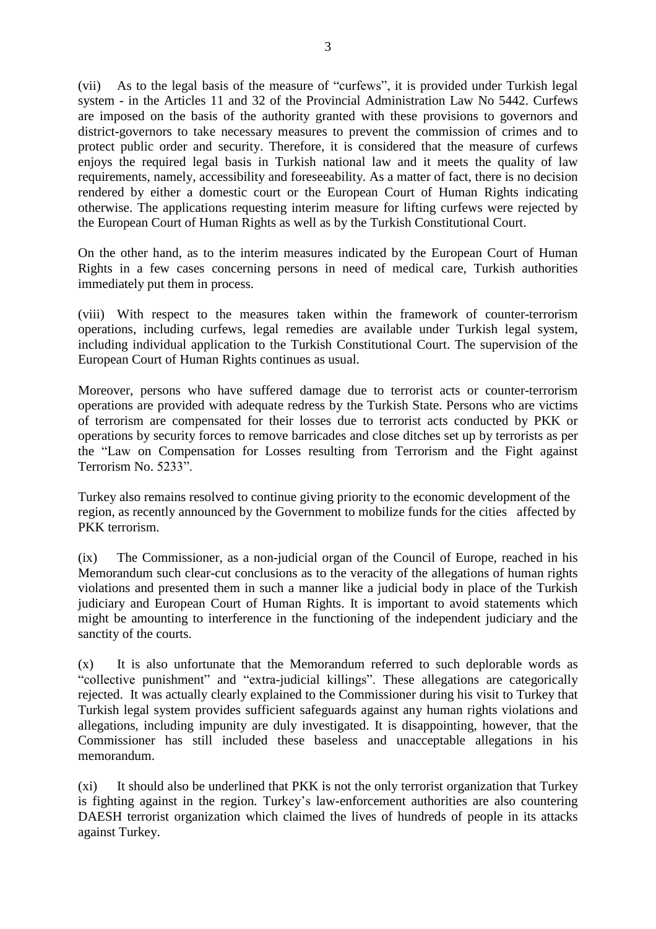(vii) As to the legal basis of the measure of "curfews", it is provided under Turkish legal system - in the Articles 11 and 32 of the Provincial Administration Law No 5442. Curfews are imposed on the basis of the authority granted with these provisions to governors and district-governors to take necessary measures to prevent the commission of crimes and to protect public order and security. Therefore, it is considered that the measure of curfews enjoys the required legal basis in Turkish national law and it meets the quality of law requirements, namely, accessibility and foreseeability. As a matter of fact, there is no decision rendered by either a domestic court or the European Court of Human Rights indicating otherwise. The applications requesting interim measure for lifting curfews were rejected by the European Court of Human Rights as well as by the Turkish Constitutional Court.

On the other hand, as to the interim measures indicated by the European Court of Human Rights in a few cases concerning persons in need of medical care, Turkish authorities immediately put them in process.

(viii) With respect to the measures taken within the framework of counter-terrorism operations, including curfews, legal remedies are available under Turkish legal system, including individual application to the Turkish Constitutional Court. The supervision of the European Court of Human Rights continues as usual.

Moreover, persons who have suffered damage due to terrorist acts or counter-terrorism operations are provided with adequate redress by the Turkish State. Persons who are victims of terrorism are compensated for their losses due to terrorist acts conducted by PKK or operations by security forces to remove barricades and close ditches set up by terrorists as per the "Law on Compensation for Losses resulting from Terrorism and the Fight against Terrorism No. 5233".

Turkey also remains resolved to continue giving priority to the economic development of the region, as recently announced by the Government to mobilize funds for the cities affected by PKK terrorism.

(ix) The Commissioner, as a non-judicial organ of the Council of Europe, reached in his Memorandum such clear-cut conclusions as to the veracity of the allegations of human rights violations and presented them in such a manner like a judicial body in place of the Turkish judiciary and European Court of Human Rights. It is important to avoid statements which might be amounting to interference in the functioning of the independent judiciary and the sanctity of the courts.

(x) It is also unfortunate that the Memorandum referred to such deplorable words as "collective punishment" and "extra-judicial killings". These allegations are categorically rejected. It was actually clearly explained to the Commissioner during his visit to Turkey that Turkish legal system provides sufficient safeguards against any human rights violations and allegations, including impunity are duly investigated. It is disappointing, however, that the Commissioner has still included these baseless and unacceptable allegations in his memorandum.

(xi) It should also be underlined that PKK is not the only terrorist organization that Turkey is fighting against in the region. Turkey's law-enforcement authorities are also countering DAESH terrorist organization which claimed the lives of hundreds of people in its attacks against Turkey.